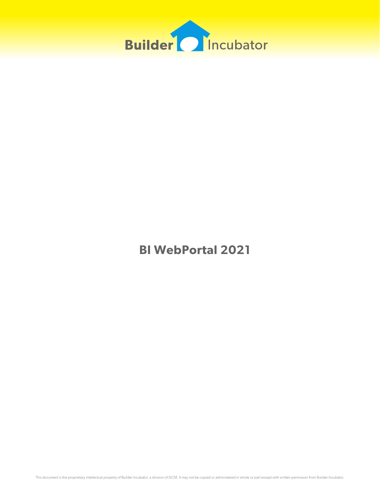

**BI WebPortal 2021**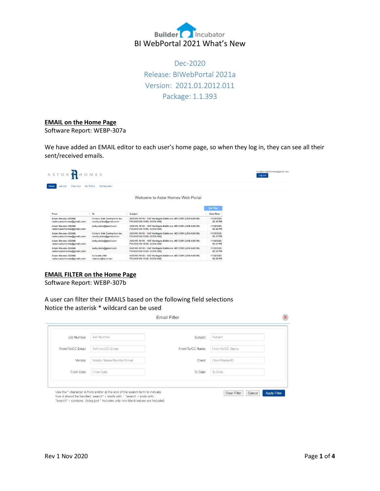

Dec-2020 Release: BIWebPortal 2021a Version: 2021.01.2012.011 Package: 1.1.393

## **EMAIL on the Home Page**

Software Report: WEBP-307a

We have added an EMAIL editor to each user's home page, so when they log in, they can see all their sent/received emails.

| ASTORTHOMES<br><b>Job List</b><br><b>Client List</b><br>My ToDo's<br>Home<br>Configuration |                                                                                  |                                                                                              |                                | Hi adam.astorhomes@gmail.com.<br>Log out |
|--------------------------------------------------------------------------------------------|----------------------------------------------------------------------------------|----------------------------------------------------------------------------------------------|--------------------------------|------------------------------------------|
|                                                                                            |                                                                                  | Welcome to Astor Homes Web Portal                                                            |                                |                                          |
| From                                                                                       | $\bullet$ To                                                                     | <b>Subject</b>                                                                               | <b>Set Filter</b><br>Date/Time |                                          |
| Adam Stevens (ADAM)<br><adam.astorhomes@gmail.com></adam.astorhomes@gmail.com>             | Corky's Slab Contractors Inc.<br><corky.slabs@gmail.com></corky.slabs@gmail.com> | ASG100-16100 - 1547 Northgate Baltimore, MD 21201 IJOB:ASG100.<br>PO:ASG100-16100, GCON:900] | 11/02/2020.<br>03:45 PM        |                                          |
| Adam Stevens (ADAM)<br><adam.astorhomes@gmail.com></adam.astorhomes@gmail.com>             | corky.slabs@gmail.com                                                            | ASG100-16100 - 1547 Northgate Baltimore, MD 21201 [JOB:ASG100,<br>PO:ASG100-16100, GCON:900] | 11/02/2020.<br>03:40 PM        |                                          |
| Adam Stevens (ADAM)<br><adam.astorhomes@gmail.com></adam.astorhomes@gmail.com>             | Corky's Slab Contractors Inc.<br><corky.slabs@gmail.com></corky.slabs@gmail.com> | ASG100-16100 - 1547 Northgate Baltimore, MD 21201 [JOB:ASG100,<br>PO:ASG100-16100, GCON:900] | 11/02/2020.<br>03:37 PM        |                                          |
| Adam Stevens (ADAM)<br><adam.astorhomes@gmail.com></adam.astorhomes@gmail.com>             | corky.slabs@gmail.com                                                            | ASG100-16100 - 1547 Northgate Baltimore, MD 21201 [JOB:ASG100,<br>PO:ASG100-16100, GCON:900] | 11/02/2020.<br>03:31 PM        |                                          |
| Adam Stevens (ADAM)<br><adam.astorhomes@gmail.com></adam.astorhomes@gmail.com>             | corky.slabs@gmail.com                                                            | ASG100-16120 - 1547 Northgate Baltimore, MD 21201 [JOB:ASG100,<br>PO:ASG100-16120, GCON:9001 | 11/02/2020.<br>02:32 PM        |                                          |
| Adam Stevens (ADAM)<br><adam.astorhomes@gmail.com></adam.astorhomes@gmail.com>             | <b>Concrete USA</b><br><stanton@iscm.us></stanton@iscm.us>                       | ASG100-16120 - 1547 Northgate Baltimore, MD 21201 [JOB:ASG100,<br>PO:ASG100-16120, GCON:9001 | 11/02/2020.<br>02:26 PM        |                                          |

# **EMAIL FILTER on the Home Page**

Software Report: WEBP-307b

A user can filter their EMAILS based on the following field selections Notice the asterisk \* wildcard can be used

| Job Number       | Job Number               | Subject         | Subject         |  |
|------------------|--------------------------|-----------------|-----------------|--|
| From/To/CC Email | To/From/CC Email         | From/To/CC Name | From/To/CC Name |  |
| Vendor           | Vendor Name/Number/Email | Client          | Client Name/ID  |  |
| From Date        | From Date                | To Date         | To Date         |  |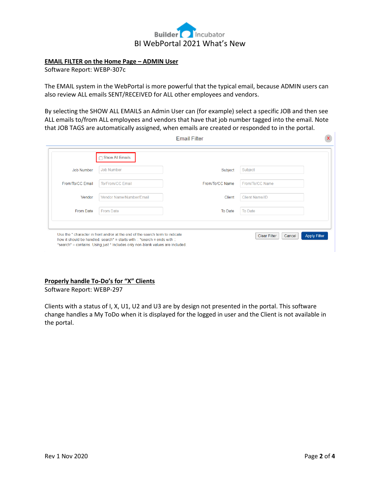

# **EMAIL FILTER on the Home Page – ADMIN User**

Software Report: WEBP-307c

The EMAIL system in the WebPortal is more powerful that the typical email, because ADMIN users can also review ALL emails SENT/RECEIVED for ALL other employees and vendors.

By selecting the SHOW ALL EMAILS an Admin User can (for example) select a specific JOB and then see ALL emails to/from ALL employees and vendors that have that job number tagged into the email. Note that JOB TAGS are automatically assigned, when emails are created or responded to in the portal.  $\sim 1$ 

| <b>Job Number</b> | <b>Job Number</b>        | Subject         | Subject               |
|-------------------|--------------------------|-----------------|-----------------------|
| From/To/CC Email  | To/From/CC Email         | From/To/CC Name | From/To/CC Name       |
| Vendor            | Vendor Name/Number/Email | <b>Client</b>   | <b>Client Name/ID</b> |
| From Date         | From Date                | To Date         | To Date               |

### **Properly handle To-Do's for "X" Clients**

Software Report: WEBP-297

Clients with a status of I, X, U1, U2 and U3 are by design not presented in the portal. This software change handles a My ToDo when it is displayed for the logged in user and the Client is not available in the portal.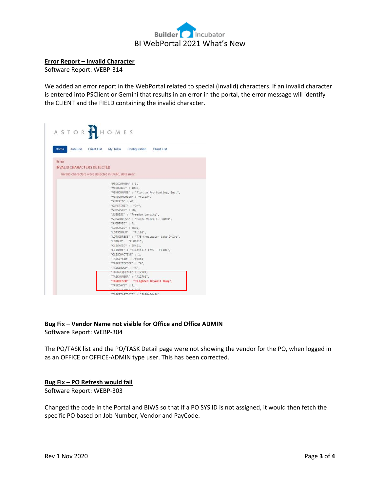

#### **Error Report – Invalid Character**

Software Report: WEBP-314

We added an error report in the WebPortal related to special (invalid) characters. If an invalid character is entered into PSClient or Gemini that results in an error in the portal, the error message will identify the CLIENT and the FIELD containing the invalid character.

| ASTORTHOMES                                         |                                                       |                                                                                                                                                                                                                                                                                                                                                                                                                                                                                                              |                                                                                                                                     |
|-----------------------------------------------------|-------------------------------------------------------|--------------------------------------------------------------------------------------------------------------------------------------------------------------------------------------------------------------------------------------------------------------------------------------------------------------------------------------------------------------------------------------------------------------------------------------------------------------------------------------------------------------|-------------------------------------------------------------------------------------------------------------------------------------|
| Home                                                |                                                       | Job List Client List My ToDo Configuration Client List                                                                                                                                                                                                                                                                                                                                                                                                                                                       |                                                                                                                                     |
| Error                                               |                                                       |                                                                                                                                                                                                                                                                                                                                                                                                                                                                                                              |                                                                                                                                     |
| <b>INVALID CHARACTERS DETECTED</b>                  |                                                       |                                                                                                                                                                                                                                                                                                                                                                                                                                                                                                              |                                                                                                                                     |
| Invalid characters were detected in CURL data near. |                                                       |                                                                                                                                                                                                                                                                                                                                                                                                                                                                                                              |                                                                                                                                     |
|                                                     | "SUPERID" : 40,<br>"SUBDIVID" : 0,<br>"TASKDAYS" : 1. | "PSCCOMPNUM" : 1,<br>"VENDORID" : 1036,<br>"VENDORNUMBER" : "FL123",<br>"SUPERINIT" : "JH",<br>"SUBSYSID" : 98,<br>"SUBDESC" : "Freedom Landing",<br>"SUBADDRESS" : "Ponte Vedra FL 32081",<br>"LOTSYSID" : 3692,<br>"LOTJOBNUM" : "FL101",<br>"LOTNUM" : "FL0101",<br>"CLISYSID" : 25421.<br>"CLINAME" : "Ellaville Inv. - FL101",<br>"CLISCHACTIVE": 1.<br>"TASKSYSID" : 769851,<br>"TASKSITECODE" : "A",<br>"TASKGROUP" : "A",<br>INSKSEQUENCE 1 14701,<br>"TASKNUMBER" : "A12701",<br>"TASKSTATUS" - "C" | "VENDORNAME" : "Florida Pro Coating, Inc.",<br>"LOTADORESS" : "775 Crosswater Lake Drive",<br>"TASKDESCR": "DLighted Drywall Bump", |

## **Bug Fix – Vendor Name not visible for Office and Office ADMIN** Software Report: WEBP-304

The PO/TASK list and the PO/TASK Detail page were not showing the vendor for the PO, when logged in as an OFFICE or OFFICE-ADMIN type user. This has been corrected.

### **Bug Fix – PO Refresh would fail**

Software Report: WEBP-303

Changed the code in the Portal and BIWS so that if a PO SYS ID is not assigned, it would then fetch the specific PO based on Job Number, Vendor and PayCode.